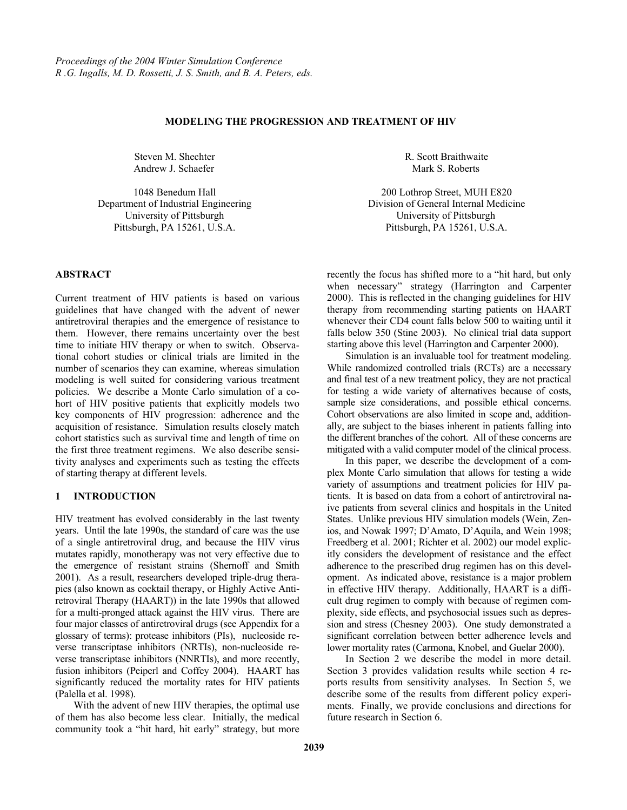### **MODELING THE PROGRESSION AND TREATMENT OF HIV**

Steven M. Shechter Andrew J. Schaefer

1048 Benedum Hall Department of Industrial Engineering University of Pittsburgh Pittsburgh, PA 15261, U.S.A.

# **ABSTRACT**

Current treatment of HIV patients is based on various guidelines that have changed with the advent of newer antiretroviral therapies and the emergence of resistance to them. However, there remains uncertainty over the best time to initiate HIV therapy or when to switch. Observational cohort studies or clinical trials are limited in the number of scenarios they can examine, whereas simulation modeling is well suited for considering various treatment policies. We describe a Monte Carlo simulation of a cohort of HIV positive patients that explicitly models two key components of HIV progression: adherence and the acquisition of resistance. Simulation results closely match cohort statistics such as survival time and length of time on the first three treatment regimens. We also describe sensitivity analyses and experiments such as testing the effects of starting therapy at different levels.

# **1 INTRODUCTION**

HIV treatment has evolved considerably in the last twenty years. Until the late 1990s, the standard of care was the use of a single antiretroviral drug, and because the HIV virus mutates rapidly, monotherapy was not very effective due to the emergence of resistant strains (Shernoff and Smith 2001). As a result, researchers developed triple-drug therapies (also known as cocktail therapy, or Highly Active Antiretroviral Therapy (HAART)) in the late 1990s that allowed for a multi-pronged attack against the HIV virus. There are four major classes of antiretroviral drugs (see Appendix for a glossary of terms): protease inhibitors (PIs), nucleoside reverse transcriptase inhibitors (NRTIs), non-nucleoside reverse transcriptase inhibitors (NNRTIs), and more recently, fusion inhibitors (Peiperl and Coffey 2004). HAART has significantly reduced the mortality rates for HIV patients (Palella et al. 1998).

With the advent of new HIV therapies, the optimal use of them has also become less clear. Initially, the medical community took a "hit hard, hit early" strategy, but more  R. Scott Braithwaite Mark S. Roberts

200 Lothrop Street, MUH E820 Division of General Internal Medicine University of Pittsburgh Pittsburgh, PA 15261, U.S.A.

recently the focus has shifted more to a "hit hard, but only when necessary" strategy (Harrington and Carpenter 2000). This is reflected in the changing guidelines for HIV therapy from recommending starting patients on HAART whenever their CD4 count falls below 500 to waiting until it falls below 350 (Stine 2003). No clinical trial data support starting above this level (Harrington and Carpenter 2000).

 Simulation is an invaluable tool for treatment modeling. While randomized controlled trials (RCTs) are a necessary and final test of a new treatment policy, they are not practical for testing a wide variety of alternatives because of costs, sample size considerations, and possible ethical concerns. Cohort observations are also limited in scope and, additionally, are subject to the biases inherent in patients falling into the different branches of the cohort. All of these concerns are mitigated with a valid computer model of the clinical process.

 In this paper, we describe the development of a complex Monte Carlo simulation that allows for testing a wide variety of assumptions and treatment policies for HIV patients. It is based on data from a cohort of antiretroviral naive patients from several clinics and hospitals in the United States. Unlike previous HIV simulation models (Wein, Zenios, and Nowak 1997; D'Amato, D'Aquila, and Wein 1998; Freedberg et al. 2001; Richter et al. 2002) our model explicitly considers the development of resistance and the effect adherence to the prescribed drug regimen has on this development. As indicated above, resistance is a major problem in effective HIV therapy. Additionally, HAART is a difficult drug regimen to comply with because of regimen complexity, side effects, and psychosocial issues such as depression and stress (Chesney 2003). One study demonstrated a significant correlation between better adherence levels and lower mortality rates (Carmona, Knobel, and Guelar 2000).

In Section 2 we describe the model in more detail. Section 3 provides validation results while section 4 reports results from sensitivity analyses. In Section 5, we describe some of the results from different policy experiments. Finally, we provide conclusions and directions for future research in Section 6.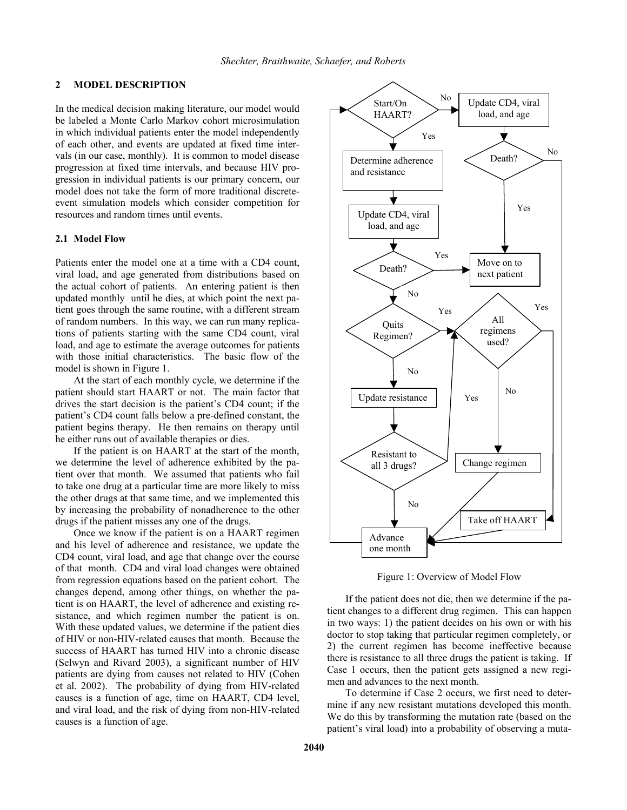### **2 MODEL DESCRIPTION**

In the medical decision making literature, our model would be labeled a Monte Carlo Markov cohort microsimulation in which individual patients enter the model independently of each other, and events are updated at fixed time intervals (in our case, monthly). It is common to model disease progression at fixed time intervals, and because HIV progression in individual patients is our primary concern, our model does not take the form of more traditional discreteevent simulation models which consider competition for resources and random times until events.

### **2.1 Model Flow**

Patients enter the model one at a time with a CD4 count, viral load, and age generated from distributions based on the actual cohort of patients. An entering patient is then updated monthly until he dies, at which point the next patient goes through the same routine, with a different stream of random numbers. In this way, we can run many replications of patients starting with the same CD4 count, viral load, and age to estimate the average outcomes for patients with those initial characteristics. The basic flow of the model is shown in Figure 1.

 At the start of each monthly cycle, we determine if the patient should start HAART or not. The main factor that drives the start decision is the patient's CD4 count; if the patient's CD4 count falls below a pre-defined constant, the patient begins therapy. He then remains on therapy until he either runs out of available therapies or dies.

 If the patient is on HAART at the start of the month, we determine the level of adherence exhibited by the patient over that month. We assumed that patients who fail to take one drug at a particular time are more likely to miss the other drugs at that same time, and we implemented this by increasing the probability of nonadherence to the other drugs if the patient misses any one of the drugs.

 Once we know if the patient is on a HAART regimen and his level of adherence and resistance, we update the CD4 count, viral load, and age that change over the course of that month. CD4 and viral load changes were obtained from regression equations based on the patient cohort. The changes depend, among other things, on whether the patient is on HAART, the level of adherence and existing resistance, and which regimen number the patient is on. With these updated values, we determine if the patient dies of HIV or non-HIV-related causes that month. Because the success of HAART has turned HIV into a chronic disease (Selwyn and Rivard 2003), a significant number of HIV patients are dying from causes not related to HIV (Cohen et al. 2002). The probability of dying from HIV-related causes is a function of age, time on HAART, CD4 level, and viral load, and the risk of dying from non-HIV-related causes is a function of age.



Figure 1: Overview of Model Flow

If the patient does not die, then we determine if the patient changes to a different drug regimen. This can happen in two ways: 1) the patient decides on his own or with his doctor to stop taking that particular regimen completely, or 2) the current regimen has become ineffective because there is resistance to all three drugs the patient is taking. If Case 1 occurs, then the patient gets assigned a new regimen and advances to the next month.

 To determine if Case 2 occurs, we first need to determine if any new resistant mutations developed this month. We do this by transforming the mutation rate (based on the patient's viral load) into a probability of observing a muta-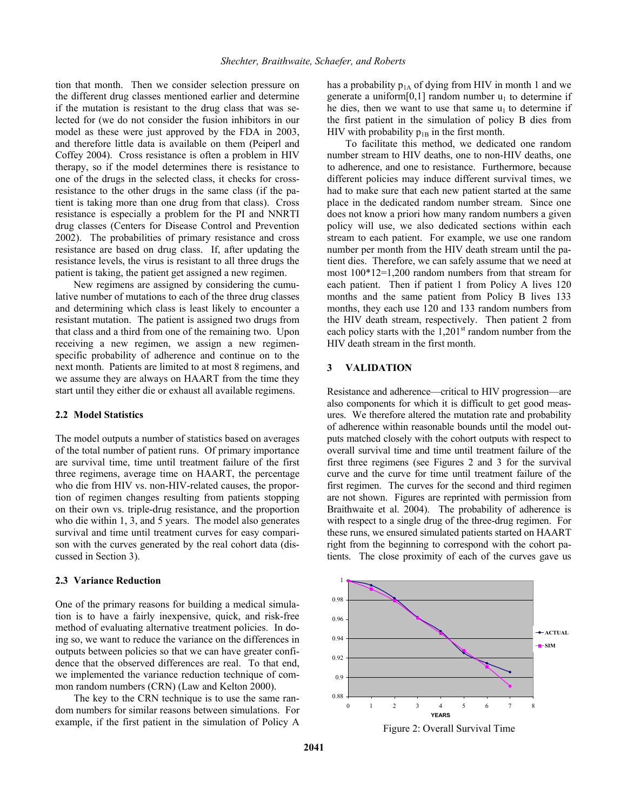tion that month. Then we consider selection pressure on the different drug classes mentioned earlier and determine if the mutation is resistant to the drug class that was selected for (we do not consider the fusion inhibitors in our model as these were just approved by the FDA in 2003, and therefore little data is available on them (Peiperl and Coffey 2004). Cross resistance is often a problem in HIV therapy, so if the model determines there is resistance to one of the drugs in the selected class, it checks for crossresistance to the other drugs in the same class (if the patient is taking more than one drug from that class). Cross resistance is especially a problem for the PI and NNRTI drug classes (Centers for Disease Control and Prevention 2002). The probabilities of primary resistance and cross resistance are based on drug class. If, after updating the resistance levels, the virus is resistant to all three drugs the patient is taking, the patient get assigned a new regimen.

 New regimens are assigned by considering the cumulative number of mutations to each of the three drug classes and determining which class is least likely to encounter a resistant mutation. The patient is assigned two drugs from that class and a third from one of the remaining two. Upon receiving a new regimen, we assign a new regimenspecific probability of adherence and continue on to the next month. Patients are limited to at most 8 regimens, and we assume they are always on HAART from the time they start until they either die or exhaust all available regimens.

### **2.2 Model Statistics**

The model outputs a number of statistics based on averages of the total number of patient runs. Of primary importance are survival time, time until treatment failure of the first three regimens, average time on HAART, the percentage who die from HIV vs. non-HIV-related causes, the proportion of regimen changes resulting from patients stopping on their own vs. triple-drug resistance, and the proportion who die within 1, 3, and 5 years. The model also generates survival and time until treatment curves for easy comparison with the curves generated by the real cohort data (discussed in Section 3).

### **2.3 Variance Reduction**

One of the primary reasons for building a medical simulation is to have a fairly inexpensive, quick, and risk-free method of evaluating alternative treatment policies. In doing so, we want to reduce the variance on the differences in outputs between policies so that we can have greater confidence that the observed differences are real. To that end, we implemented the variance reduction technique of common random numbers (CRN) (Law and Kelton 2000).

The key to the CRN technique is to use the same random numbers for similar reasons between simulations. For example, if the first patient in the simulation of Policy A

has a probability  $p_{1A}$  of dying from HIV in month 1 and we generate a uniform $[0,1]$  random number  $u_1$  to determine if he dies, then we want to use that same  $u_1$  to determine if the first patient in the simulation of policy B dies from HIV with probability  $p_{1B}$  in the first month.

To facilitate this method, we dedicated one random number stream to HIV deaths, one to non-HIV deaths, one to adherence, and one to resistance. Furthermore, because different policies may induce different survival times, we had to make sure that each new patient started at the same place in the dedicated random number stream. Since one does not know a priori how many random numbers a given policy will use, we also dedicated sections within each stream to each patient. For example, we use one random number per month from the HIV death stream until the patient dies. Therefore, we can safely assume that we need at most 100\*12=1,200 random numbers from that stream for each patient. Then if patient 1 from Policy A lives 120 months and the same patient from Policy B lives 133 months, they each use 120 and 133 random numbers from the HIV death stream, respectively. Then patient 2 from each policy starts with the  $1,201<sup>st</sup>$  random number from the HIV death stream in the first month.

# **3 VALIDATION**

Resistance and adherence—critical to HIV progression—are also components for which it is difficult to get good measures. We therefore altered the mutation rate and probability of adherence within reasonable bounds until the model outputs matched closely with the cohort outputs with respect to overall survival time and time until treatment failure of the first three regimens (see Figures 2 and 3 for the survival curve and the curve for time until treatment failure of the first regimen. The curves for the second and third regimen are not shown. Figures are reprinted with permission from Braithwaite et al. 2004). The probability of adherence is with respect to a single drug of the three-drug regimen. For these runs, we ensured simulated patients started on HAART right from the beginning to correspond with the cohort patients. The close proximity of each of the curves gave us



Figure 2: Overall Survival Time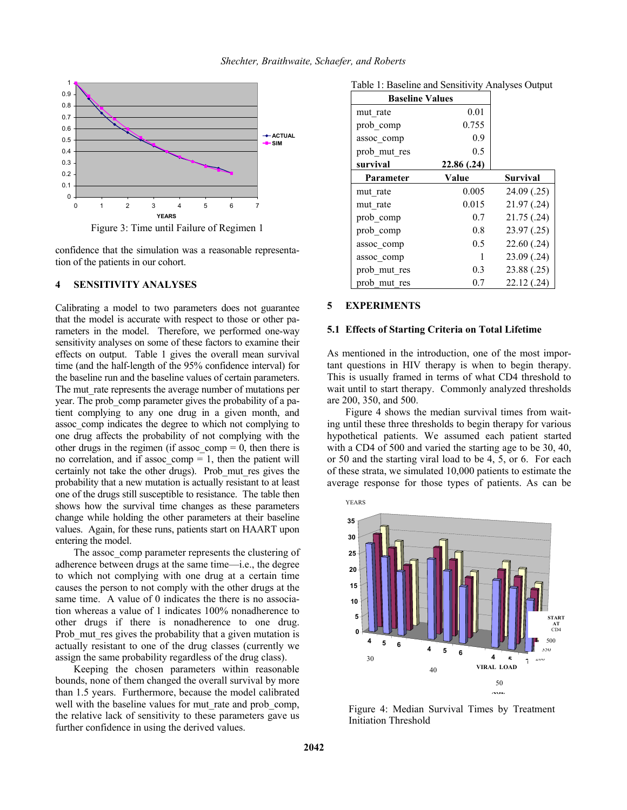

Figure 3: Time until Failure of Regimen 1

confidence that the simulation was a reasonable representation of the patients in our cohort.

# **4 SENSITIVITY ANALYSES**

Calibrating a model to two parameters does not guarantee that the model is accurate with respect to those or other parameters in the model. Therefore, we performed one-way sensitivity analyses on some of these factors to examine their effects on output. Table 1 gives the overall mean survival time (and the half-length of the 95% confidence interval) for the baseline run and the baseline values of certain parameters. The mut rate represents the average number of mutations per year. The prob\_comp parameter gives the probability of a patient complying to any one drug in a given month, and assoc\_comp indicates the degree to which not complying to one drug affects the probability of not complying with the other drugs in the regimen (if assoc\_comp  $= 0$ , then there is no correlation, and if assoc comp  $= 1$ , then the patient will certainly not take the other drugs). Prob\_mut\_res gives the probability that a new mutation is actually resistant to at least one of the drugs still susceptible to resistance. The table then shows how the survival time changes as these parameters change while holding the other parameters at their baseline values. Again, for these runs, patients start on HAART upon entering the model.

 The assoc\_comp parameter represents the clustering of adherence between drugs at the same time—i.e., the degree to which not complying with one drug at a certain time causes the person to not comply with the other drugs at the same time. A value of 0 indicates the there is no association whereas a value of 1 indicates 100% nonadherence to other drugs if there is nonadherence to one drug. Prob mut res gives the probability that a given mutation is actually resistant to one of the drug classes (currently we assign the same probability regardless of the drug class).

 Keeping the chosen parameters within reasonable bounds, none of them changed the overall survival by more than 1.5 years. Furthermore, because the model calibrated well with the baseline values for mut rate and prob\_comp, the relative lack of sensitivity to these parameters gave us further confidence in using the derived values.

| Table 1: Baseline and Sensitivity Analyses Output |
|---------------------------------------------------|
|---------------------------------------------------|

| <b>Baseline Values</b> |               |                 |
|------------------------|---------------|-----------------|
| mut rate               | 0.01          |                 |
| prob comp              | 0.755         |                 |
| assoc_comp             | 0.9           |                 |
| prob mut res           | 0.5           |                 |
| survival               | 22.86 (.24)   |                 |
| Parameter              | Value         | <b>Survival</b> |
| mut rate               | 0.005         | 24.09 (.25)     |
| mut rate               | 0.015         | 21.97 (.24)     |
| prob comp              | 0.7           | 21.75 (.24)     |
| prob comp              | 0.8           | 23.97(.25)      |
| assoc comp             | $0.5^{\circ}$ | 22.60(.24)      |
| assoc comp             | 1             | 23.09(.24)      |
| prob mut res           | 0.3           | 23.88 (.25)     |
| prob mut res           | 0.7           | 22.12(.24)      |

## **5 EXPERIMENTS**

#### **5.1 Effects of Starting Criteria on Total Lifetime**

As mentioned in the introduction, one of the most important questions in HIV therapy is when to begin therapy. This is usually framed in terms of what CD4 threshold to wait until to start therapy. Commonly analyzed thresholds are 200, 350, and 500.

Figure 4 shows the median survival times from waiting until these three thresholds to begin therapy for various hypothetical patients. We assumed each patient started with a CD4 of 500 and varied the starting age to be 30, 40, or 50 and the starting viral load to be 4, 5, or 6. For each of these strata, we simulated 10,000 patients to estimate the average response for those types of patients. As can be



Figure 4: Median Survival Times by Treatment Initiation Threshold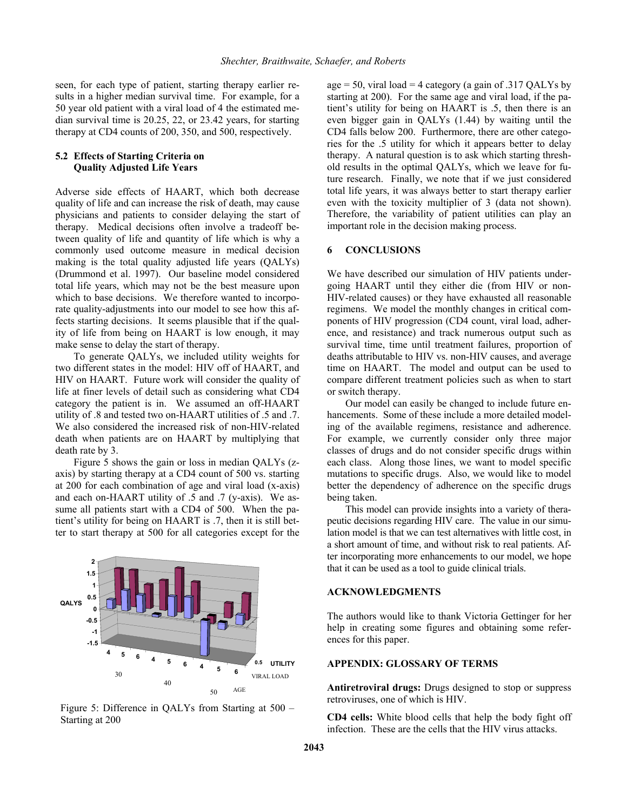seen, for each type of patient, starting therapy earlier results in a higher median survival time. For example, for a 50 year old patient with a viral load of 4 the estimated median survival time is 20.25, 22, or 23.42 years, for starting therapy at CD4 counts of 200, 350, and 500, respectively.

# **5.2 Effects of Starting Criteria on Quality Adjusted Life Years**

Adverse side effects of HAART, which both decrease quality of life and can increase the risk of death, may cause physicians and patients to consider delaying the start of therapy. Medical decisions often involve a tradeoff between quality of life and quantity of life which is why a commonly used outcome measure in medical decision making is the total quality adjusted life years (QALYs) (Drummond et al. 1997). Our baseline model considered total life years, which may not be the best measure upon which to base decisions. We therefore wanted to incorporate quality-adjustments into our model to see how this affects starting decisions. It seems plausible that if the quality of life from being on HAART is low enough, it may make sense to delay the start of therapy.

 To generate QALYs, we included utility weights for two different states in the model: HIV off of HAART, and HIV on HAART. Future work will consider the quality of life at finer levels of detail such as considering what CD4 category the patient is in. We assumed an off-HAART utility of .8 and tested two on-HAART utilities of .5 and .7. We also considered the increased risk of non-HIV-related death when patients are on HAART by multiplying that death rate by 3.

 Figure 5 shows the gain or loss in median QALYs (zaxis) by starting therapy at a CD4 count of 500 vs. starting at 200 for each combination of age and viral load (x-axis) and each on-HAART utility of .5 and .7 (y-axis). We assume all patients start with a CD4 of 500. When the patient's utility for being on HAART is .7, then it is still better to start therapy at 500 for all categories except for the



Figure 5: Difference in QALYs from Starting at 500 – Starting at 200

age  $= 50$ , viral load  $= 4$  category (a gain of .317 QALYs by starting at 200). For the same age and viral load, if the patient's utility for being on HAART is .5, then there is an even bigger gain in QALYs (1.44) by waiting until the CD4 falls below 200. Furthermore, there are other categories for the .5 utility for which it appears better to delay therapy. A natural question is to ask which starting threshold results in the optimal QALYs, which we leave for future research. Finally, we note that if we just considered total life years, it was always better to start therapy earlier even with the toxicity multiplier of 3 (data not shown). Therefore, the variability of patient utilities can play an important role in the decision making process.

### **6 CONCLUSIONS**

We have described our simulation of HIV patients undergoing HAART until they either die (from HIV or non-HIV-related causes) or they have exhausted all reasonable regimens. We model the monthly changes in critical components of HIV progression (CD4 count, viral load, adherence, and resistance) and track numerous output such as survival time, time until treatment failures, proportion of deaths attributable to HIV vs. non-HIV causes, and average time on HAART. The model and output can be used to compare different treatment policies such as when to start or switch therapy.

Our model can easily be changed to include future enhancements. Some of these include a more detailed modeling of the available regimens, resistance and adherence. For example, we currently consider only three major classes of drugs and do not consider specific drugs within each class. Along those lines, we want to model specific mutations to specific drugs. Also, we would like to model better the dependency of adherence on the specific drugs being taken.

This model can provide insights into a variety of therapeutic decisions regarding HIV care. The value in our simulation model is that we can test alternatives with little cost, in a short amount of time, and without risk to real patients. After incorporating more enhancements to our model, we hope that it can be used as a tool to guide clinical trials.

# **ACKNOWLEDGMENTS**

The authors would like to thank Victoria Gettinger for her help in creating some figures and obtaining some references for this paper.

# **APPENDIX: GLOSSARY OF TERMS**

**Antiretroviral drugs:** Drugs designed to stop or suppress retroviruses, one of which is HIV.

**CD4 cells:** White blood cells that help the body fight off infection. These are the cells that the HIV virus attacks.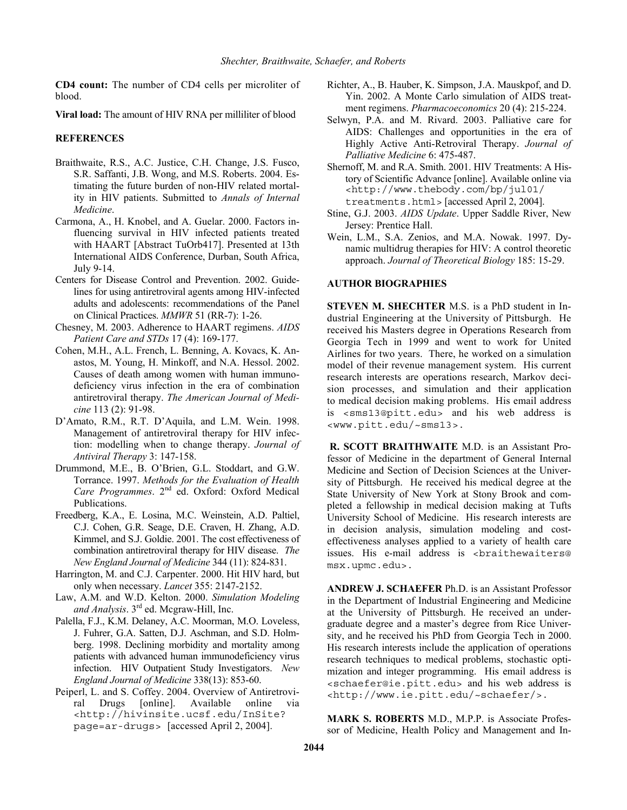**CD4 count:** The number of CD4 cells per microliter of blood.

**Viral load:** The amount of HIV RNA per milliliter of blood

# **REFERENCES**

- Braithwaite, R.S., A.C. Justice, C.H. Change, J.S. Fusco, S.R. Saffanti, J.B. Wong, and M.S. Roberts. 2004. Estimating the future burden of non-HIV related mortality in HIV patients. Submitted to *Annals of Internal Medicine*.
- Carmona, A., H. Knobel, and A. Guelar. 2000. Factors influencing survival in HIV infected patients treated with HAART [Abstract TuOrb417]. Presented at 13th International AIDS Conference, Durban, South Africa, July 9-14.
- Centers for Disease Control and Prevention. 2002. Guidelines for using antiretroviral agents among HIV-infected adults and adolescents: recommendations of the Panel on Clinical Practices. *MMWR* 51 (RR-7): 1-26.
- Chesney, M. 2003. Adherence to HAART regimens. *AIDS Patient Care and STDs* 17 (4): 169-177.
- Cohen, M.H., A.L. French, L. Benning, A. Kovacs, K. Anastos, M. Young, H. Minkoff, and N.A. Hessol. 2002. Causes of death among women with human immunodeficiency virus infection in the era of combination antiretroviral therapy. *The American Journal of Medicine* 113 (2): 91-98.
- D'Amato, R.M., R.T. D'Aquila, and L.M. Wein. 1998. Management of antiretroviral therapy for HIV infection: modelling when to change therapy. *Journal of Antiviral Therapy* 3: 147-158.
- Drummond, M.E., B. O'Brien, G.L. Stoddart, and G.W. Torrance. 1997. *Methods for the Evaluation of Health Care Programmes*. 2nd ed. Oxford: Oxford Medical Publications.
- Freedberg, K.A., E. Losina, M.C. Weinstein, A.D. Paltiel, C.J. Cohen, G.R. Seage, D.E. Craven, H. Zhang, A.D. Kimmel, and S.J. Goldie. 2001. The cost effectiveness of combination antiretroviral therapy for HIV disease. *The New England Journal of Medicine* 344 (11): 824-831.
- Harrington, M. and C.J. Carpenter. 2000. Hit HIV hard, but only when necessary. *Lancet* 355: 2147-2152.
- Law, A.M. and W.D. Kelton. 2000. *Simulation Modeling and Analysis*. 3rd ed. Mcgraw-Hill, Inc.
- Palella, F.J., K.M. Delaney, A.C. Moorman, M.O. Loveless, J. Fuhrer, G.A. Satten, D.J. Aschman, and S.D. Holmberg. 1998. Declining morbidity and mortality among patients with advanced human immunodeficiency virus infection. HIV Outpatient Study Investigators. *New England Journal of Medicine* 338(13): 853-60.
- Peiperl, L. and S. Coffey. 2004. Overview of Antiretroviral Drugs [online]. Available online via <http://hivinsite.ucsf.edu/InSite? page=ar-drugs> [accessed April 2, 2004].
- Richter, A., B. Hauber, K. Simpson, J.A. Mauskpof, and D. Yin. 2002. A Monte Carlo simulation of AIDS treatment regimens. *Pharmacoeconomics* 20 (4): 215-224.
- Selwyn, P.A. and M. Rivard. 2003. Palliative care for AIDS: Challenges and opportunities in the era of Highly Active Anti-Retroviral Therapy. *Journal of Palliative Medicine* 6: 475-487.
- Shernoff, M. and R.A. Smith. 2001. HIV Treatments: A History of Scientific Advance [online]. Available online via <http://www.thebody.com/bp/jul01/ treatments.html> [accessed April 2, 2004].
- Stine, G.J. 2003. *AIDS Update*. Upper Saddle River, New Jersey: Prentice Hall.
- Wein, L.M., S.A. Zenios, and M.A. Nowak. 1997. Dynamic multidrug therapies for HIV: A control theoretic approach. *Journal of Theoretical Biology* 185: 15-29.

# **AUTHOR BIOGRAPHIES**

**STEVEN M. SHECHTER** M.S. is a PhD student in Industrial Engineering at the University of Pittsburgh. He received his Masters degree in Operations Research from Georgia Tech in 1999 and went to work for United Airlines for two years. There, he worked on a simulation model of their revenue management system. His current research interests are operations research, Markov decision processes, and simulation and their application to medical decision making problems. His email address is <sms13@pitt.edu> and his web address is <www.pitt.edu/~sms13>.

 **R. SCOTT BRAITHWAITE** M.D. is an Assistant Professor of Medicine in the department of General Internal Medicine and Section of Decision Sciences at the University of Pittsburgh. He received his medical degree at the State University of New York at Stony Brook and completed a fellowship in medical decision making at Tufts University School of Medicine. His research interests are in decision analysis, simulation modeling and costeffectiveness analyses applied to a variety of health care issues. His e-mail address is <braithewaiters@ msx.upmc.edu>.

**ANDREW J. SCHAEFER** Ph.D. is an Assistant Professor in the Department of Industrial Engineering and Medicine at the University of Pittsburgh. He received an undergraduate degree and a master's degree from Rice University, and he received his PhD from Georgia Tech in 2000. His research interests include the application of operations research techniques to medical problems, stochastic optimization and integer programming. His email address is <schaefer@ie.pitt.edu> and his web address is <http://www.ie.pitt.edu/~schaefer/>.

**MARK S. ROBERTS** M.D., M.P.P. is Associate Professor of Medicine, Health Policy and Management and In-